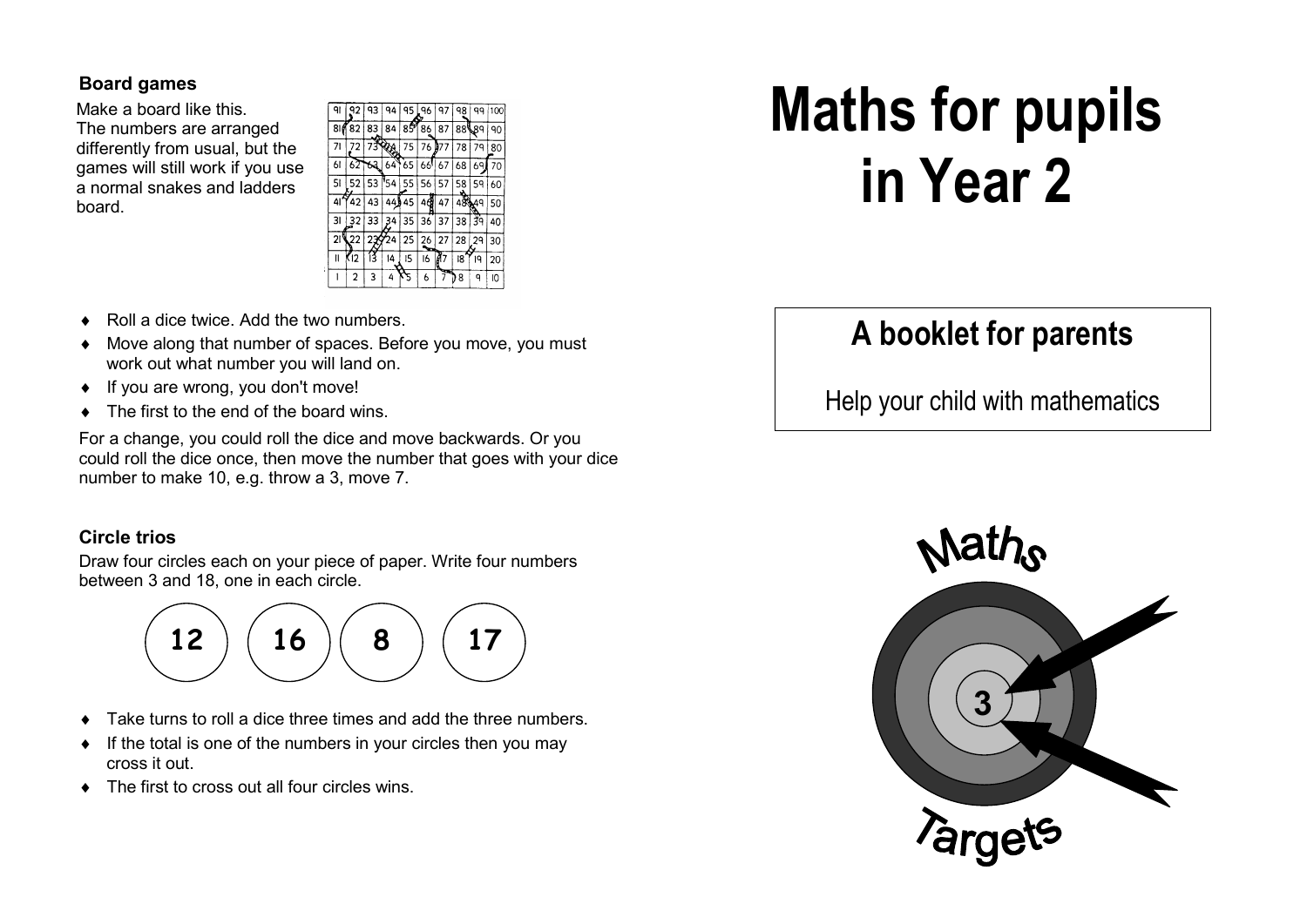#### **Board games**

 Make a board like this. The numbers are arranged differently from usual, but the games will still work if you use a normal snakes and ladders board.

| 91  | 92             | 93    | 94     | 95 | 96     | 97  | 98  | ٩q | 100 |
|-----|----------------|-------|--------|----|--------|-----|-----|----|-----|
| 810 | 82             | 83    | 84     | 85 | 86     | 87  | 88¶ | 8۹ | 90  |
| 71  | 72             | 73908 |        | 75 | 76     | 077 | 78  | 79 | 80  |
| 61  | 62             | 63    | 64     | 65 | 66!    | 67  | 68  | 69 | 70  |
| 51  | 52             | 53    | '54    | 55 | 56     | 57  | 58  | 59 | 60  |
| 41  | 42             | 43    | 44)    | 45 | đ<br>4 | 47  | 48  | 49 | 50  |
| 31  | 32             | 33    | 4<br>3 | 35 | 36     | 37  | 38  | žq | 40  |
| 21  | 22             | 27    | 24     | 25 | 26     | 27  | 28  | 29 | 30  |
| II  | (12            | í3    | 14     | 15 | 16     |     | I8  | 19 | 20  |
|     | $\overline{c}$ | 3     | 4      |    | 6      | æ,  | 8   | ٩  | 10  |

- ♦ Roll a dice twice. Add the two numbers.
- ♦ Move along that number of spaces. Before you move, you must work out what number you will land on.
- ♦ If you are wrong, you don't move!
- The first to the end of the board wins.

For a change, you could roll the dice and move backwards. Or you could roll the dice once, then move the number that goes with your dice number to make 10, e.g. throw a 3, move 7.

### **Circle trios**

Draw four circles each on your piece of paper. Write four numbers between 3 and 18, one in each circle.



- Take turns to roll a dice three times and add the three numbers.
- ♦ If the total is one of the numbers in your circles then you may cross it out.
- $\bullet$  The first to cross out all four circles wins.

# **Maths for pupils in Year 2**

# **A booklet for parents**

Help your child with mathematics